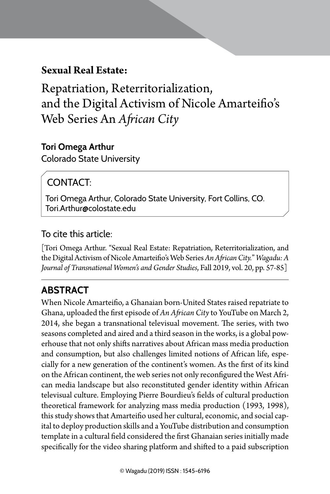# **Sexual Real Estate:**

Repatriation, Reterritorialization, and the Digital Activism of Nicole Amarteifio's Web Series An *African City* 

Sexual Real Estate: | 57

### **Tori Omega Arthur**

Colorado State University

# CONTACT:

Tori Omega Arthur, Colorado State University, Fort Collins, CO. Tori.Arthur@colostate.edu

## To cite this article:

[Tori Omega Arthur. "Sexual Real Estate: Repatriation, Reterritorialization, and the Digital Activism of Nicole Amarteifio's Web Series *An African City.*" *Wagadu: A Journal of Transnational Women's and Gender Studies*, Fall 2019, vol. 20, pp. 57-85]

# **Abstract**

When Nicole Amarteifio, a Ghanaian born-United States raised repatriate to Ghana, uploaded the first episode of *An African City* to YouTube on March 2, 2014, she began a transnational televisual movement. The series, with two seasons completed and aired and a third season in the works, is a global powerhouse that not only shifts narratives about African mass media production and consumption, but also challenges limited notions of African life, especially for a new generation of the continent's women. As the first of its kind on the African continent, the web series not only reconfigured the West African media landscape but also reconstituted gender identity within African televisual culture. Employing Pierre Bourdieu's fields of cultural production theoretical framework for analyzing mass media production (1993, 1998), this study shows that Amarteifio used her cultural, economic, and social capital to deploy production skills and a YouTube distribution and consumption template in a cultural field considered the first Ghanaian series initially made specifically for the video sharing platform and shifted to a paid subscription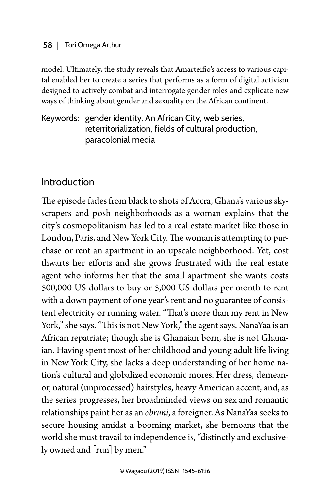model. Ultimately, the study reveals that Amarteifio's access to various capital enabled her to create a series that performs as a form of digital activism designed to actively combat and interrogate gender roles and explicate new ways of thinking about gender and sexuality on the African continent.

Keywords: gender identity, An African City, web series, reterritorialization, fields of cultural production, paracolonial media

## Introduction

The episode fades from black to shots of Accra, Ghana's various skyscrapers and posh neighborhoods as a woman explains that the city's cosmopolitanism has led to a real estate market like those in London, Paris, and New York City. The woman is attempting to purchase or rent an apartment in an upscale neighborhood. Yet, cost thwarts her efforts and she grows frustrated with the real estate agent who informs her that the small apartment she wants costs 500,000 US dollars to buy or 5,000 US dollars per month to rent with a down payment of one year's rent and no guarantee of consistent electricity or running water. "That's more than my rent in New York," she says. "This is not New York," the agent says. NanaYaa is an African repatriate; though she is Ghanaian born, she is not Ghanaian. Having spent most of her childhood and young adult life living in New York City, she lacks a deep understanding of her home nation's cultural and globalized economic mores. Her dress, demeanor, natural (unprocessed) hairstyles, heavy American accent, and, as the series progresses, her broadminded views on sex and romantic relationships paint her as an *obruni*, a foreigner. As NanaYaa seeks to secure housing amidst a booming market, she bemoans that the world she must travail to independence is, "distinctly and exclusively owned and [run] by men."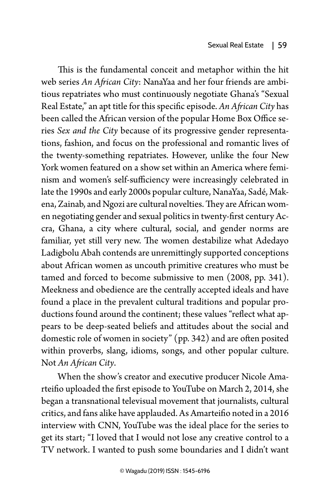This is the fundamental conceit and metaphor within the hit web series *An African City*: NanaYaa and her four friends are ambitious repatriates who must continuously negotiate Ghana's "Sexual Real Estate," an apt title for this specific episode. *An African City* has been called the African version of the popular Home Box Office series *Sex and the City* because of its progressive gender representations, fashion, and focus on the professional and romantic lives of the twenty-something repatriates. However, unlike the four New York women featured on a show set within an America where feminism and women's self-sufficiency were increasingly celebrated in late the 1990s and early 2000s popular culture, NanaYaa, Sadé, Makena, Zainab, and Ngozi are cultural novelties. They are African women negotiating gender and sexual politics in twenty-first century Accra, Ghana, a city where cultural, social, and gender norms are familiar, yet still very new. The women destabilize what Adedayo Ladigbolu Abah contends are unremittingly supported conceptions about African women as uncouth primitive creatures who must be tamed and forced to become submissive to men (2008, pp. 341). Meekness and obedience are the centrally accepted ideals and have found a place in the prevalent cultural traditions and popular productions found around the continent; these values "reflect what appears to be deep-seated beliefs and attitudes about the social and domestic role of women in society" (pp. 342) and are often posited within proverbs, slang, idioms, songs, and other popular culture. Not *An African City*.

When the show's creator and executive producer Nicole Amarteifio uploaded the first episode to YouTube on March 2, 2014, she began a transnational televisual movement that journalists, cultural critics, and fans alike have applauded. As Amarteifio noted in a 2016 interview with CNN, YouTube was the ideal place for the series to get its start; "I loved that I would not lose any creative control to a TV network. I wanted to push some boundaries and I didn't want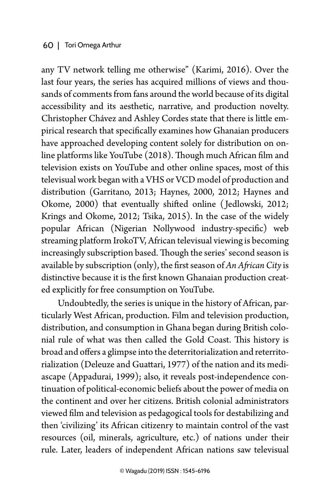any TV network telling me otherwise" (Karimi, 2016). Over the last four years, the series has acquired millions of views and thousands of comments from fans around the world because of its digital accessibility and its aesthetic, narrative, and production novelty. Christopher Chávez and Ashley Cordes state that there is little empirical research that specifically examines how Ghanaian producers have approached developing content solely for distribution on online platforms like YouTube (2018). Though much African film and television exists on YouTube and other online spaces, most of this televisual work began with a VHS or VCD model of production and distribution (Garritano, 2013; Haynes, 2000, 2012; Haynes and Okome, 2000) that eventually shifted online ( Jedlowski, 2012; Krings and Okome, 2012; Tsika, 2015). In the case of the widely popular African (Nigerian Nollywood industry-specific) web streaming platform IrokoTV, African televisual viewing is becoming increasingly subscription based. Though the series' second season is available by subscription (only), the first season of *An African City* is distinctive because it is the first known Ghanaian production created explicitly for free consumption on YouTube.

Undoubtedly, the series is unique in the history of African, particularly West African, production. Film and television production, distribution, and consumption in Ghana began during British colonial rule of what was then called the Gold Coast. This history is broad and offers a glimpse into the deterritorialization and reterritorialization (Deleuze and Guattari, 1977) of the nation and its mediascape (Appadurai, 1999); also, it reveals post-independence continuation of political-economic beliefs about the power of media on the continent and over her citizens. British colonial administrators viewed film and television as pedagogical tools for destabilizing and then 'civilizing' its African citizenry to maintain control of the vast resources (oil, minerals, agriculture, etc.) of nations under their rule. Later, leaders of independent African nations saw televisual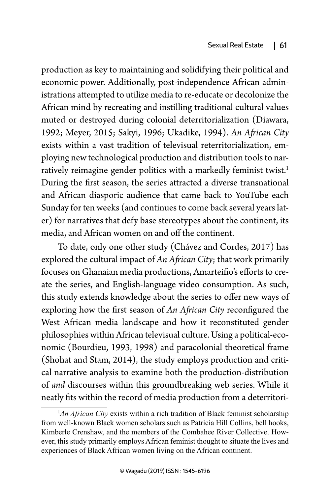production as key to maintaining and solidifying their political and economic power. Additionally, post-independence African administrations attempted to utilize media to re-educate or decolonize the African mind by recreating and instilling traditional cultural values muted or destroyed during colonial deterritorialization (Diawara, 1992; Meyer, 2015; Sakyi, 1996; Ukadike, 1994). *An African City* exists within a vast tradition of televisual reterritorialization, employing new technological production and distribution tools to narratively reimagine gender politics with a markedly feminist twist.<sup>1</sup> During the first season, the series attracted a diverse transnational and African diasporic audience that came back to YouTube each Sunday for ten weeks (and continues to come back several years later) for narratives that defy base stereotypes about the continent, its media, and African women on and off the continent.

To date, only one other study (Chávez and Cordes, 2017) has explored the cultural impact of *An African City*; that work primarily focuses on Ghanaian media productions, Amarteifio's efforts to create the series, and English-language video consumption. As such, this study extends knowledge about the series to offer new ways of exploring how the first season of *An African City* reconfigured the West African media landscape and how it reconstituted gender philosophies within African televisual culture. Using a political-economic (Bourdieu, 1993, 1998) and paracolonial theoretical frame (Shohat and Stam, 2014), the study employs production and critical narrative analysis to examine both the production-distribution of *and* discourses within this groundbreaking web series. While it neatly fits within the record of media production from a deterritori-

<sup>&</sup>lt;sup>1</sup>An African City exists within a rich tradition of Black feminist scholarship from well-known Black women scholars such as Patricia Hill Collins, bell hooks, Kimberle Crenshaw, and the members of the Combahee River Collective. However, this study primarily employs African feminist thought to situate the lives and experiences of Black African women living on the African continent.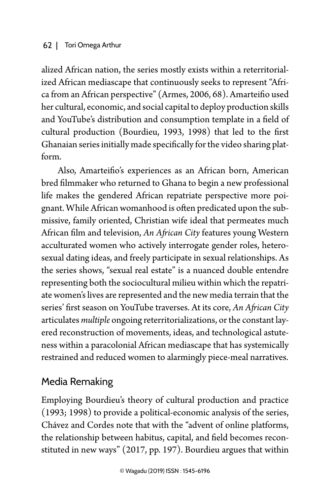alized African nation, the series mostly exists within a reterritorialized African mediascape that continuously seeks to represent "Africa from an African perspective" (Armes, 2006, 68). Amarteifio used her cultural, economic, and social capital to deploy production skills and YouTube's distribution and consumption template in a field of cultural production (Bourdieu, 1993, 1998) that led to the first Ghanaian series initially made specifically for the video sharing platform.

Also, Amarteifio's experiences as an African born, American bred filmmaker who returned to Ghana to begin a new professional life makes the gendered African repatriate perspective more poignant. While African womanhood is often predicated upon the submissive, family oriented, Christian wife ideal that permeates much African film and television, *An African City* features young Western acculturated women who actively interrogate gender roles, heterosexual dating ideas, and freely participate in sexual relationships. As the series shows, "sexual real estate" is a nuanced double entendre representing both the sociocultural milieu within which the repatriate women's lives are represented and the new media terrain that the series' first season on YouTube traverses. At its core, *An African City* articulates *multiple* ongoing reterritorializations, or the constant layered reconstruction of movements, ideas, and technological astuteness within a paracolonial African mediascape that has systemically restrained and reduced women to alarmingly piece-meal narratives.

# Media Remaking

Employing Bourdieu's theory of cultural production and practice (1993; 1998) to provide a political-economic analysis of the series, Chávez and Cordes note that with the "advent of online platforms, the relationship between habitus, capital, and field becomes reconstituted in new ways" (2017, pp. 197). Bourdieu argues that within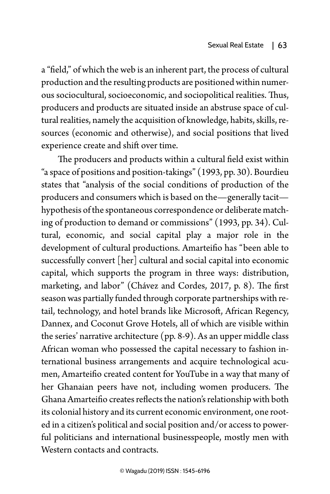a "field," of which the web is an inherent part, the process of cultural production and the resulting products are positioned within numerous sociocultural, socioeconomic, and sociopolitical realities. Thus, producers and products are situated inside an abstruse space of cultural realities, namely the acquisition of knowledge, habits, skills, resources (economic and otherwise), and social positions that lived experience create and shift over time.

The producers and products within a cultural field exist within "a space of positions and position-takings" (1993, pp. 30). Bourdieu states that "analysis of the social conditions of production of the producers and consumers which is based on the—generally tacit hypothesis of the spontaneous correspondence or deliberate matching of production to demand or commissions" (1993, pp. 34). Cultural, economic, and social capital play a major role in the development of cultural productions. Amarteifio has "been able to successfully convert [her] cultural and social capital into economic capital, which supports the program in three ways: distribution, marketing, and labor" (Chávez and Cordes, 2017, p. 8). The first season was partially funded through corporate partnerships with retail, technology, and hotel brands like Microsoft, African Regency, Dannex, and Coconut Grove Hotels, all of which are visible within the series' narrative architecture (pp. 8-9). As an upper middle class African woman who possessed the capital necessary to fashion international business arrangements and acquire technological acumen, Amarteifio created content for YouTube in a way that many of her Ghanaian peers have not, including women producers. The Ghana Amarteifio creates reflects the nation's relationship with both its colonial history and its current economic environment, one rooted in a citizen's political and social position and/or access to powerful politicians and international businesspeople, mostly men with Western contacts and contracts.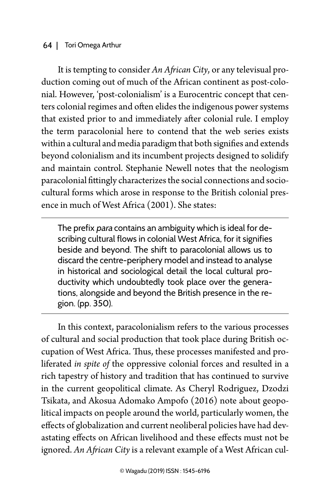It is tempting to consider *An African City*, or any televisual production coming out of much of the African continent as post-colonial. However, 'post-colonialism' is a Eurocentric concept that centers colonial regimes and often elides the indigenous power systems that existed prior to and immediately after colonial rule. I employ the term paracolonial here to contend that the web series exists within a cultural and media paradigm that both signifies and extends beyond colonialism and its incumbent projects designed to solidify and maintain control. Stephanie Newell notes that the neologism paracolonial fittingly characterizes the social connections and sociocultural forms which arose in response to the British colonial presence in much of West Africa (2001). She states:

The prefix para contains an ambiguity which is ideal for describing cultural flows in colonial West Africa, for it signifies beside and beyond. The shift to paracolonial allows us to discard the centre-periphery model and instead to analyse in historical and sociological detail the local cultural productivity which undoubtedly took place over the generations, alongside and beyond the British presence in the region. (pp. 350).

In this context, paracolonialism refers to the various processes of cultural and social production that took place during British occupation of West Africa. Thus, these processes manifested and proliferated *in spite of* the oppressive colonial forces and resulted in a rich tapestry of history and tradition that has continued to survive in the current geopolitical climate. As Cheryl Rodriguez, Dzodzi Tsikata, and Akosua Adomako Ampofo (2016) note about geopolitical impacts on people around the world, particularly women, the effects of globalization and current neoliberal policies have had devastating effects on African livelihood and these effects must not be ignored. *An African City* is a relevant example of a West African cul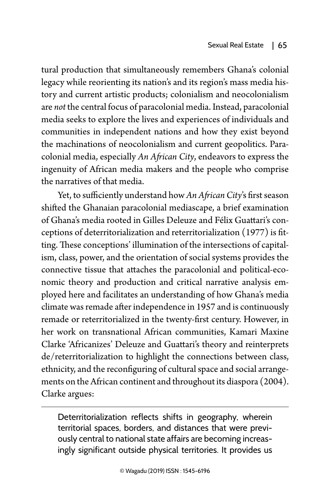tural production that simultaneously remembers Ghana's colonial legacy while reorienting its nation's and its region's mass media history and current artistic products; colonialism and neocolonialism are *not* the central focus of paracolonial media. Instead, paracolonial media seeks to explore the lives and experiences of individuals and communities in independent nations and how they exist beyond the machinations of neocolonialism and current geopolitics. Paracolonial media, especially *An African City*, endeavors to express the ingenuity of African media makers and the people who comprise the narratives of that media.

Yet, to sufficiently understand how *An African City*'s first season shifted the Ghanaian paracolonial mediascape, a brief examination of Ghana's media rooted in Gilles Deleuze and Félix Guattari's conceptions of deterritorialization and reterritorialization (1977) is fitting. These conceptions' illumination of the intersections of capitalism, class, power, and the orientation of social systems provides the connective tissue that attaches the paracolonial and political-economic theory and production and critical narrative analysis employed here and facilitates an understanding of how Ghana's media climate was remade after independence in 1957 and is continuously remade or reterritorialized in the twenty-first century. However, in her work on transnational African communities, Kamari Maxine Clarke 'Africanizes' Deleuze and Guattari's theory and reinterprets de/reterritorialization to highlight the connections between class, ethnicity, and the reconfiguring of cultural space and social arrangements on the African continent and throughout its diaspora (2004). Clarke argues:

Deterritorialization reflects shifts in geography, wherein territorial spaces, borders, and distances that were previously central to national state affairs are becoming increasingly significant outside physical territories. It provides us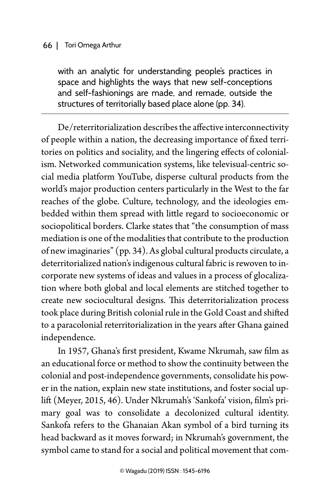with an analytic for understanding people's practices in space and highlights the ways that new self-conceptions and self-fashionings are made, and remade, outside the structures of territorially based place alone (pp. 34).

De/reterritorialization describes the affective interconnectivity of people within a nation, the decreasing importance of fixed territories on politics and sociality, and the lingering effects of colonialism. Networked communication systems, like televisual-centric social media platform YouTube, disperse cultural products from the world's major production centers particularly in the West to the far reaches of the globe. Culture, technology, and the ideologies embedded within them spread with little regard to socioeconomic or sociopolitical borders. Clarke states that "the consumption of mass mediation is one of the modalities that contribute to the production of new imaginaries" (pp. 34). As global cultural products circulate, a deterritorialized nation's indigenous cultural fabric is rewoven to incorporate new systems of ideas and values in a process of glocalization where both global and local elements are stitched together to create new sociocultural designs. This deterritorialization process took place during British colonial rule in the Gold Coast and shifted to a paracolonial reterritorialization in the years after Ghana gained independence.

In 1957, Ghana's first president, Kwame Nkrumah, saw film as an educational force or method to show the continuity between the colonial and post-independence governments, consolidate his power in the nation, explain new state institutions, and foster social uplift (Meyer, 2015, 46). Under Nkrumah's 'Sankofa' vision, film's primary goal was to consolidate a decolonized cultural identity. Sankofa refers to the Ghanaian Akan symbol of a bird turning its head backward as it moves forward; in Nkrumah's government, the symbol came to stand for a social and political movement that com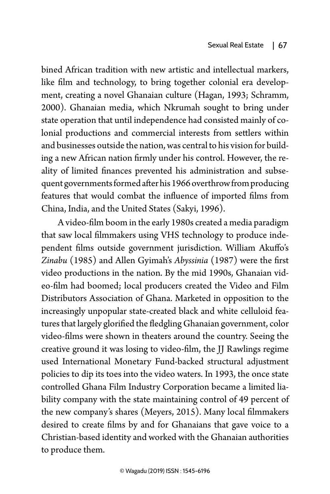bined African tradition with new artistic and intellectual markers, like film and technology, to bring together colonial era development, creating a novel Ghanaian culture (Hagan, 1993; Schramm, 2000). Ghanaian media, which Nkrumah sought to bring under state operation that until independence had consisted mainly of colonial productions and commercial interests from settlers within and businesses outside the nation, was central to his vision for building a new African nation firmly under his control. However, the reality of limited finances prevented his administration and subsequent governments formed after his 1966 overthrow from producing features that would combat the influence of imported films from China, India, and the United States (Sakyi, 1996).

A video-film boom in the early 1980s created a media paradigm that saw local filmmakers using VHS technology to produce independent films outside government jurisdiction. William Akuffo's *Zinabu* (1985) and Allen Gyimah's *Abyssinia* (1987) were the first video productions in the nation. By the mid 1990s, Ghanaian video-film had boomed; local producers created the Video and Film Distributors Association of Ghana. Marketed in opposition to the increasingly unpopular state-created black and white celluloid features that largely glorified the fledgling Ghanaian government, color video-films were shown in theaters around the country. Seeing the creative ground it was losing to video-film, the JJ Rawlings regime used International Monetary Fund-backed structural adjustment policies to dip its toes into the video waters. In 1993, the once state controlled Ghana Film Industry Corporation became a limited liability company with the state maintaining control of 49 percent of the new company's shares (Meyers, 2015). Many local filmmakers desired to create films by and for Ghanaians that gave voice to a Christian-based identity and worked with the Ghanaian authorities to produce them.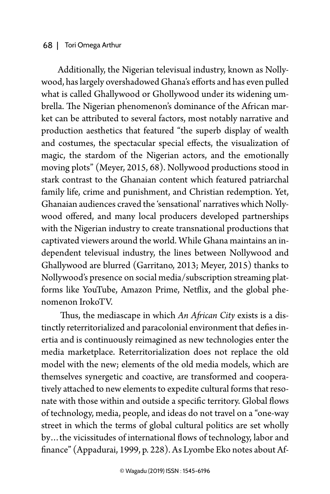Additionally, the Nigerian televisual industry, known as Nollywood, has largely overshadowed Ghana's efforts and has even pulled what is called Ghallywood or Ghollywood under its widening umbrella. The Nigerian phenomenon's dominance of the African market can be attributed to several factors, most notably narrative and production aesthetics that featured "the superb display of wealth and costumes, the spectacular special effects, the visualization of magic, the stardom of the Nigerian actors, and the emotionally moving plots" (Meyer, 2015, 68). Nollywood productions stood in stark contrast to the Ghanaian content which featured patriarchal family life, crime and punishment, and Christian redemption. Yet, Ghanaian audiences craved the 'sensational' narratives which Nollywood offered, and many local producers developed partnerships with the Nigerian industry to create transnational productions that captivated viewers around the world. While Ghana maintains an independent televisual industry, the lines between Nollywood and Ghallywood are blurred (Garritano, 2013; Meyer, 2015) thanks to Nollywood's presence on social media/subscription streaming platforms like YouTube, Amazon Prime, Netflix, and the global phenomenon IrokoTV.

 Thus, the mediascape in which *An African City* exists is a distinctly reterritorialized and paracolonial environment that defies inertia and is continuously reimagined as new technologies enter the media marketplace. Reterritorialization does not replace the old model with the new; elements of the old media models, which are themselves synergetic and coactive, are transformed and cooperatively attached to new elements to expedite cultural forms that resonate with those within and outside a specific territory. Global flows of technology, media, people, and ideas do not travel on a "one-way street in which the terms of global cultural politics are set wholly by…the vicissitudes of international flows of technology, labor and finance" (Appadurai, 1999, p. 228). As Lyombe Eko notes about Af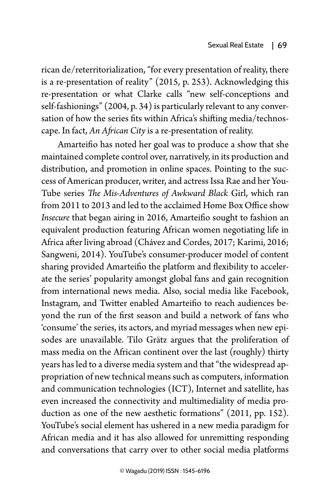rican de/reterritorialization, "for every presentation of reality, there is a re-presentation of reality" (2015, p. 253). Acknowledging this re-presentation or what Clarke calls "new self-conceptions and self-fashionings" (2004, p. 34) is particularly relevant to any conversation of how the series fits within Africa's shifting media/technoscape. In fact, *An African City* is a re-presentation of reality.

Amarteifio has noted her goal was to produce a show that she maintained complete control over, narratively, in its production and distribution, and promotion in online spaces. Pointing to the success of American producer, writer, and actress Issa Rae and her You-Tube series *The Mis-Adventures of Awkward Black* Girl, which ran from 2011 to 2013 and led to the acclaimed Home Box Office show *Insecure* that began airing in 2016, Amarteifio sought to fashion an equivalent production featuring African women negotiating life in Africa after living abroad (Chávez and Cordes, 2017; Karimi, 2016; Sangweni, 2014). YouTube's consumer-producer model of content sharing provided Amarteifio the platform and flexibility to accelerate the series' popularity amongst global fans and gain recognition from international news media. Also, social media like Facebook, Instagram, and Twitter enabled Amarteifio to reach audiences beyond the run of the first season and build a network of fans who 'consume' the series, its actors, and myriad messages when new episodes are unavailable. Tilo Grätz argues that the proliferation of mass media on the African continent over the last (roughly) thirty years has led to a diverse media system and that "the widespread appropriation of new technical means such as computers, information and communication technologies (ICT), Internet and satellite, has even increased the connectivity and multimediality of media production as one of the new aesthetic formations" (2011, pp. 152). YouTube's social element has ushered in a new media paradigm for African media and it has also allowed for unremitting responding and conversations that carry over to other social media platforms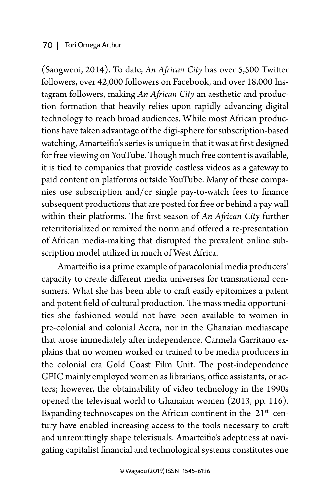(Sangweni, 2014). To date, *An African City* has over 5,500 Twitter followers, over 42,000 followers on Facebook, and over 18,000 Instagram followers, making *An African City* an aesthetic and production formation that heavily relies upon rapidly advancing digital technology to reach broad audiences. While most African productions have taken advantage of the digi-sphere for subscription-based watching, Amarteifio's series is unique in that it was at first designed for free viewing on YouTube. Though much free content is available, it is tied to companies that provide costless videos as a gateway to paid content on platforms outside YouTube. Many of these companies use subscription and/or single pay-to-watch fees to finance subsequent productions that are posted for free or behind a pay wall within their platforms. The first season of *An African City* further reterritorialized or remixed the norm and offered a re-presentation of African media-making that disrupted the prevalent online subscription model utilized in much of West Africa.

Amarteifio is a prime example of paracolonial media producers' capacity to create different media universes for transnational consumers. What she has been able to craft easily epitomizes a patent and potent field of cultural production. The mass media opportunities she fashioned would not have been available to women in pre-colonial and colonial Accra, nor in the Ghanaian mediascape that arose immediately after independence. Carmela Garritano explains that no women worked or trained to be media producers in the colonial era Gold Coast Film Unit. The post-independence GFIC mainly employed women as librarians, office assistants, or actors; however, the obtainability of video technology in the 1990s opened the televisual world to Ghanaian women (2013, pp. 116). Expanding technoscapes on the African continent in the  $21<sup>st</sup>$  century have enabled increasing access to the tools necessary to craft and unremittingly shape televisuals. Amarteifio's adeptness at navigating capitalist financial and technological systems constitutes one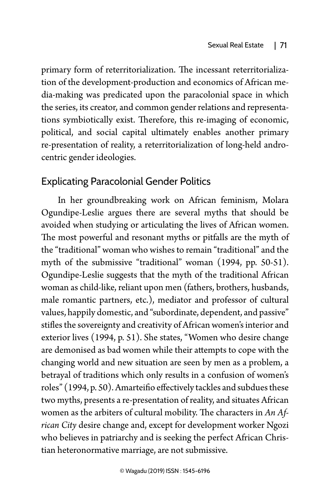primary form of reterritorialization. The incessant reterritorialization of the development-production and economics of African media-making was predicated upon the paracolonial space in which the series, its creator, and common gender relations and representations symbiotically exist. Therefore, this re-imaging of economic, political, and social capital ultimately enables another primary re-presentation of reality, a reterritorialization of long-held androcentric gender ideologies.

## Explicating Paracolonial Gender Politics

In her groundbreaking work on African feminism, Molara Ogundipe-Leslie argues there are several myths that should be avoided when studying or articulating the lives of African women. The most powerful and resonant myths or pitfalls are the myth of the "traditional" woman who wishes to remain "traditional" and the myth of the submissive "traditional" woman (1994, pp. 50-51). Ogundipe-Leslie suggests that the myth of the traditional African woman as child-like, reliant upon men (fathers, brothers, husbands, male romantic partners, etc.), mediator and professor of cultural values, happily domestic, and "subordinate, dependent, and passive" stifles the sovereignty and creativity of African women's interior and exterior lives (1994, p. 51). She states, "Women who desire change are demonised as bad women while their attempts to cope with the changing world and new situation are seen by men as a problem, a betrayal of traditions which only results in a confusion of women's roles" (1994, p. 50). Amarteifio effectively tackles and subdues these two myths, presents a re-presentation of reality, and situates African women as the arbiters of cultural mobility. The characters in *An African City* desire change and, except for development worker Ngozi who believes in patriarchy and is seeking the perfect African Christian heteronormative marriage, are not submissive.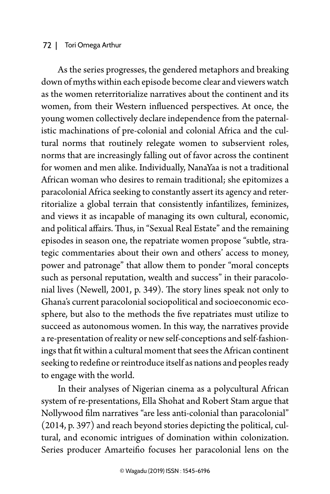As the series progresses, the gendered metaphors and breaking down of myths within each episode become clear and viewers watch as the women reterritorialize narratives about the continent and its women, from their Western influenced perspectives. At once, the young women collectively declare independence from the paternalistic machinations of pre-colonial and colonial Africa and the cultural norms that routinely relegate women to subservient roles, norms that are increasingly falling out of favor across the continent for women and men alike. Individually, NanaYaa is not a traditional African woman who desires to remain traditional; she epitomizes a paracolonial Africa seeking to constantly assert its agency and reterritorialize a global terrain that consistently infantilizes, feminizes, and views it as incapable of managing its own cultural, economic, and political affairs. Thus, in "Sexual Real Estate" and the remaining episodes in season one, the repatriate women propose "subtle, strategic commentaries about their own and others' access to money, power and patronage" that allow them to ponder "moral concepts such as personal reputation, wealth and success" in their paracolonial lives (Newell, 2001, p. 349). The story lines speak not only to Ghana's current paracolonial sociopolitical and socioeconomic ecosphere, but also to the methods the five repatriates must utilize to succeed as autonomous women. In this way, the narratives provide a re-presentation of reality or new self-conceptions and self-fashionings that fit within a cultural moment that sees the African continent seeking to redefine or reintroduce itself as nations and peoples ready to engage with the world.

In their analyses of Nigerian cinema as a polycultural African system of re-presentations, Ella Shohat and Robert Stam argue that Nollywood film narratives "are less anti-colonial than paracolonial" (2014, p. 397) and reach beyond stories depicting the political, cultural, and economic intrigues of domination within colonization. Series producer Amarteifio focuses her paracolonial lens on the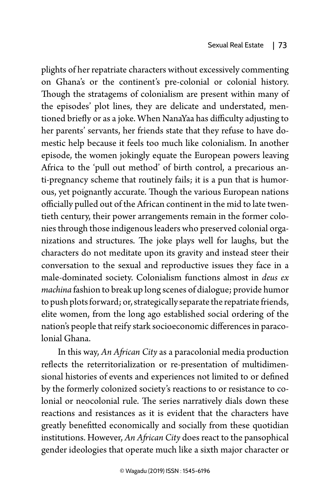plights of her repatriate characters without excessively commenting on Ghana's or the continent's pre-colonial or colonial history. Though the stratagems of colonialism are present within many of the episodes' plot lines, they are delicate and understated, mentioned briefly or as a joke. When NanaYaa has difficulty adjusting to her parents' servants, her friends state that they refuse to have domestic help because it feels too much like colonialism. In another episode, the women jokingly equate the European powers leaving Africa to the 'pull out method' of birth control, a precarious anti-pregnancy scheme that routinely fails; it is a pun that is humorous, yet poignantly accurate. Though the various European nations officially pulled out of the African continent in the mid to late twentieth century, their power arrangements remain in the former colonies through those indigenous leaders who preserved colonial organizations and structures. The joke plays well for laughs, but the characters do not meditate upon its gravity and instead steer their conversation to the sexual and reproductive issues they face in a male-dominated society. Colonialism functions almost in *deus ex machina* fashion to break up long scenes of dialogue; provide humor to push plots forward; or, strategically separate the repatriate friends, elite women, from the long ago established social ordering of the nation's people that reify stark socioeconomic differences in paracolonial Ghana.

In this way, *An African City* as a paracolonial media production reflects the reterritorialization or re-presentation of multidimensional histories of events and experiences not limited to or defined by the formerly colonized society's reactions to or resistance to colonial or neocolonial rule. The series narratively dials down these reactions and resistances as it is evident that the characters have greatly benefitted economically and socially from these quotidian institutions. However, *An African City* does react to the pansophical gender ideologies that operate much like a sixth major character or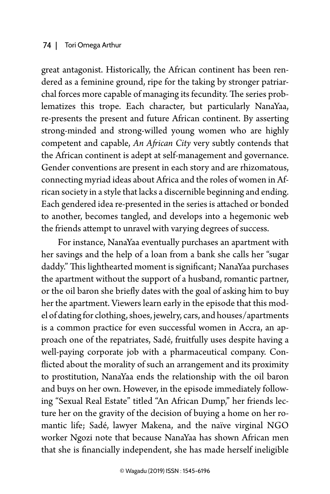great antagonist. Historically, the African continent has been rendered as a feminine ground, ripe for the taking by stronger patriarchal forces more capable of managing its fecundity. The series problematizes this trope. Each character, but particularly NanaYaa, re-presents the present and future African continent. By asserting strong-minded and strong-willed young women who are highly competent and capable, *An African City* very subtly contends that the African continent is adept at self-management and governance. Gender conventions are present in each story and are rhizomatous, connecting myriad ideas about Africa and the roles of women in African society in a style that lacks a discernible beginning and ending. Each gendered idea re-presented in the series is attached or bonded to another, becomes tangled, and develops into a hegemonic web the friends attempt to unravel with varying degrees of success.

For instance, NanaYaa eventually purchases an apartment with her savings and the help of a loan from a bank she calls her "sugar daddy." This lighthearted moment is significant; NanaYaa purchases the apartment without the support of a husband, romantic partner, or the oil baron she briefly dates with the goal of asking him to buy her the apartment. Viewers learn early in the episode that this model of dating for clothing, shoes, jewelry, cars, and houses/apartments is a common practice for even successful women in Accra, an approach one of the repatriates, Sadé, fruitfully uses despite having a well-paying corporate job with a pharmaceutical company. Conflicted about the morality of such an arrangement and its proximity to prostitution, NanaYaa ends the relationship with the oil baron and buys on her own. However, in the episode immediately following "Sexual Real Estate" titled "An African Dump," her friends lecture her on the gravity of the decision of buying a home on her romantic life; Sadé, lawyer Makena, and the naïve virginal NGO worker Ngozi note that because NanaYaa has shown African men that she is financially independent, she has made herself ineligible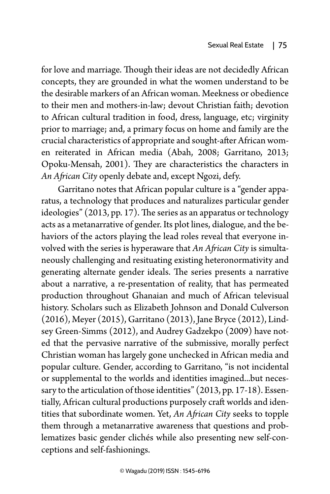for love and marriage. Though their ideas are not decidedly African concepts, they are grounded in what the women understand to be the desirable markers of an African woman. Meekness or obedience to their men and mothers-in-law; devout Christian faith; devotion to African cultural tradition in food, dress, language, etc; virginity prior to marriage; and, a primary focus on home and family are the crucial characteristics of appropriate and sought-after African women reiterated in African media (Abah, 2008; Garritano, 2013; Opoku-Mensah, 2001). They are characteristics the characters in *An African City* openly debate and, except Ngozi, defy.

Garritano notes that African popular culture is a "gender apparatus, a technology that produces and naturalizes particular gender ideologies" (2013, pp. 17). The series as an apparatus or technology acts as a metanarrative of gender. Its plot lines, dialogue, and the behaviors of the actors playing the lead roles reveal that everyone involved with the series is hyperaware that *An African City* is simultaneously challenging and resituating existing heteronormativity and generating alternate gender ideals. The series presents a narrative about a narrative, a re-presentation of reality, that has permeated production throughout Ghanaian and much of African televisual history. Scholars such as Elizabeth Johnson and Donald Culverson (2016), Meyer (2015), Garritano (2013), Jane Bryce (2012), Lindsey Green-Simms (2012), and Audrey Gadzekpo (2009) have noted that the pervasive narrative of the submissive, morally perfect Christian woman has largely gone unchecked in African media and popular culture. Gender, according to Garritano, "is not incidental or supplemental to the worlds and identities imagined...but necessary to the articulation of those identities" (2013, pp. 17-18). Essentially, African cultural productions purposely craft worlds and identities that subordinate women. Yet, *An African City* seeks to topple them through a metanarrative awareness that questions and problematizes basic gender clichés while also presenting new self-conceptions and self-fashionings.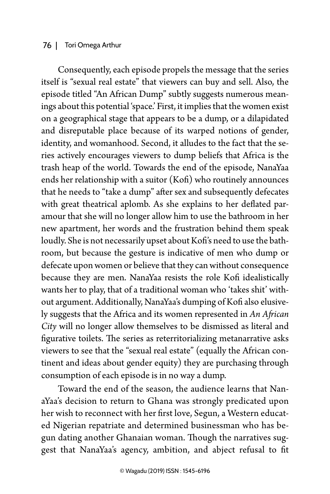Consequently, each episode propels the message that the series itself is "sexual real estate" that viewers can buy and sell. Also, the episode titled "An African Dump" subtly suggests numerous meanings about this potential 'space.' First, it implies that the women exist on a geographical stage that appears to be a dump, or a dilapidated and disreputable place because of its warped notions of gender, identity, and womanhood. Second, it alludes to the fact that the series actively encourages viewers to dump beliefs that Africa is the trash heap of the world. Towards the end of the episode, NanaYaa ends her relationship with a suitor (Kofi) who routinely announces that he needs to "take a dump" after sex and subsequently defecates with great theatrical aplomb. As she explains to her deflated paramour that she will no longer allow him to use the bathroom in her new apartment, her words and the frustration behind them speak loudly. She is not necessarily upset about Kofi's need to use the bathroom, but because the gesture is indicative of men who dump or defecate upon women or believe that they can without consequence because they are men. NanaYaa resists the role Kofi idealistically wants her to play, that of a traditional woman who 'takes shit' without argument. Additionally, NanaYaa's dumping of Kofi also elusively suggests that the Africa and its women represented in *An African City* will no longer allow themselves to be dismissed as literal and figurative toilets. The series as reterritorializing metanarrative asks viewers to see that the "sexual real estate" (equally the African continent and ideas about gender equity) they are purchasing through consumption of each episode is in no way a dump.

Toward the end of the season, the audience learns that NanaYaa's decision to return to Ghana was strongly predicated upon her wish to reconnect with her first love, Segun, a Western educated Nigerian repatriate and determined businessman who has begun dating another Ghanaian woman. Though the narratives suggest that NanaYaa's agency, ambition, and abject refusal to fit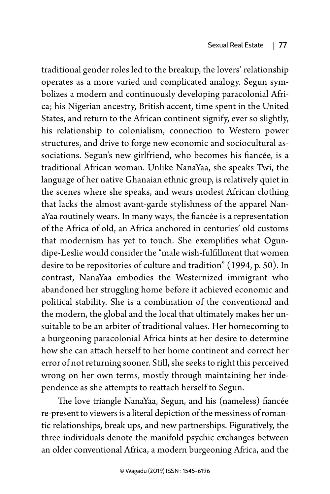traditional gender roles led to the breakup, the lovers' relationship operates as a more varied and complicated analogy. Segun symbolizes a modern and continuously developing paracolonial Africa; his Nigerian ancestry, British accent, time spent in the United States, and return to the African continent signify, ever so slightly, his relationship to colonialism, connection to Western power structures, and drive to forge new economic and sociocultural associations. Segun's new girlfriend, who becomes his fiancée, is a traditional African woman. Unlike NanaYaa, she speaks Twi, the language of her native Ghanaian ethnic group, is relatively quiet in the scenes where she speaks, and wears modest African clothing that lacks the almost avant-garde stylishness of the apparel NanaYaa routinely wears. In many ways, the fiancée is a representation of the Africa of old, an Africa anchored in centuries' old customs that modernism has yet to touch. She exemplifies what Ogundipe-Leslie would consider the "male wish-fulfillment that women desire to be repositories of culture and tradition" (1994, p. 50). In contrast, NanaYaa embodies the Westernized immigrant who abandoned her struggling home before it achieved economic and political stability. She is a combination of the conventional and the modern, the global and the local that ultimately makes her unsuitable to be an arbiter of traditional values. Her homecoming to a burgeoning paracolonial Africa hints at her desire to determine how she can attach herself to her home continent and correct her error of not returning sooner. Still, she seeks to right this perceived wrong on her own terms, mostly through maintaining her independence as she attempts to reattach herself to Segun.

The love triangle NanaYaa, Segun, and his (nameless) fiancée re-present to viewers is a literal depiction of the messiness of romantic relationships, break ups, and new partnerships. Figuratively, the three individuals denote the manifold psychic exchanges between an older conventional Africa, a modern burgeoning Africa, and the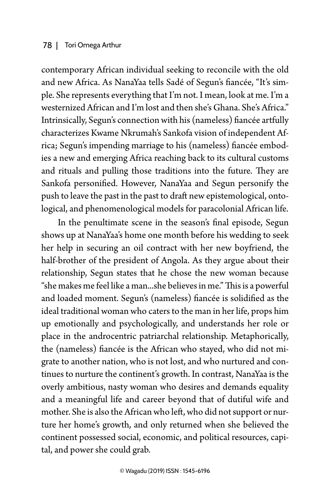contemporary African individual seeking to reconcile with the old and new Africa. As NanaYaa tells Sadé of Segun's fiancée, "It's simple. She represents everything that I'm not. I mean, look at me. I'm a westernized African and I'm lost and then she's Ghana. She's Africa." Intrinsically, Segun's connection with his (nameless) fiancée artfully characterizes Kwame Nkrumah's Sankofa vision of independent Africa; Segun's impending marriage to his (nameless) fiancée embodies a new and emerging Africa reaching back to its cultural customs and rituals and pulling those traditions into the future. They are Sankofa personified. However, NanaYaa and Segun personify the push to leave the past in the past to draft new epistemological, ontological, and phenomenological models for paracolonial African life.

In the penultimate scene in the season's final episode, Segun shows up at NanaYaa's home one month before his wedding to seek her help in securing an oil contract with her new boyfriend, the half-brother of the president of Angola. As they argue about their relationship, Segun states that he chose the new woman because "she makes me feel like a man...she believes in me." This is a powerful and loaded moment. Segun's (nameless) fiancée is solidified as the ideal traditional woman who caters to the man in her life, props him up emotionally and psychologically, and understands her role or place in the androcentric patriarchal relationship. Metaphorically, the (nameless) fiancée is the African who stayed, who did not migrate to another nation, who is not lost, and who nurtured and continues to nurture the continent's growth. In contrast, NanaYaa is the overly ambitious, nasty woman who desires and demands equality and a meaningful life and career beyond that of dutiful wife and mother. She is also the African who left, who did not support or nurture her home's growth, and only returned when she believed the continent possessed social, economic, and political resources, capital, and power she could grab.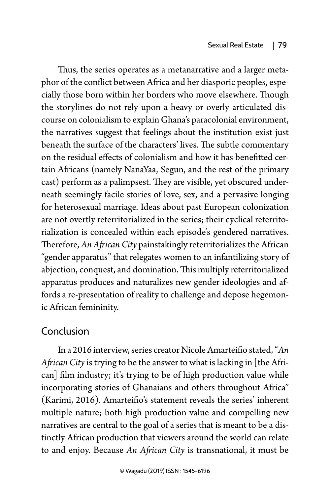Thus, the series operates as a metanarrative and a larger metaphor of the conflict between Africa and her diasporic peoples, especially those born within her borders who move elsewhere. Though the storylines do not rely upon a heavy or overly articulated discourse on colonialism to explain Ghana's paracolonial environment, the narratives suggest that feelings about the institution exist just beneath the surface of the characters' lives. The subtle commentary on the residual effects of colonialism and how it has benefitted certain Africans (namely NanaYaa, Segun, and the rest of the primary cast) perform as a palimpsest. They are visible, yet obscured underneath seemingly facile stories of love, sex, and a pervasive longing for heterosexual marriage. Ideas about past European colonization are not overtly reterritorialized in the series; their cyclical reterritorialization is concealed within each episode's gendered narratives. Therefore, *An African City* painstakingly reterritorializes the African "gender apparatus" that relegates women to an infantilizing story of abjection, conquest, and domination. This multiply reterritorialized apparatus produces and naturalizes new gender ideologies and affords a re-presentation of reality to challenge and depose hegemonic African femininity.

## Conclusion

In a 2016 interview, series creator Nicole Amarteifio stated, "*An African City* is trying to be the answer to what is lacking in [the African] film industry; it's trying to be of high production value while incorporating stories of Ghanaians and others throughout Africa" (Karimi, 2016). Amarteifio's statement reveals the series' inherent multiple nature; both high production value and compelling new narratives are central to the goal of a series that is meant to be a distinctly African production that viewers around the world can relate to and enjoy. Because *An African City* is transnational, it must be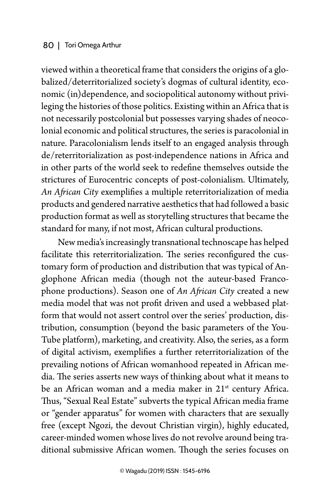viewed within a theoretical frame that considers the origins of a globalized/deterritorialized society's dogmas of cultural identity, economic (in)dependence, and sociopolitical autonomy without privileging the histories of those politics. Existing within an Africa that is not necessarily postcolonial but possesses varying shades of neocolonial economic and political structures, the series is paracolonial in nature. Paracolonialism lends itself to an engaged analysis through de/reterritorialization as post-independence nations in Africa and in other parts of the world seek to redefine themselves outside the strictures of Eurocentric concepts of post-colonialism. Ultimately, *An African City* exemplifies a multiple reterritorialization of media products and gendered narrative aesthetics that had followed a basic production format as well as storytelling structures that became the standard for many, if not most, African cultural productions.

New media's increasingly transnational technoscape has helped facilitate this reterritorialization. The series reconfigured the customary form of production and distribution that was typical of Anglophone African media (though not the auteur-based Francophone productions). Season one of *An African City* created a new media model that was not profit driven and used a webbased platform that would not assert control over the series' production, distribution, consumption (beyond the basic parameters of the You-Tube platform), marketing, and creativity. Also, the series, as a form of digital activism, exemplifies a further reterritorialization of the prevailing notions of African womanhood repeated in African media. The series asserts new ways of thinking about what it means to be an African woman and a media maker in 21<sup>st</sup> century Africa. Thus, "Sexual Real Estate" subverts the typical African media frame or "gender apparatus" for women with characters that are sexually free (except Ngozi, the devout Christian virgin), highly educated, career-minded women whose lives do not revolve around being traditional submissive African women. Though the series focuses on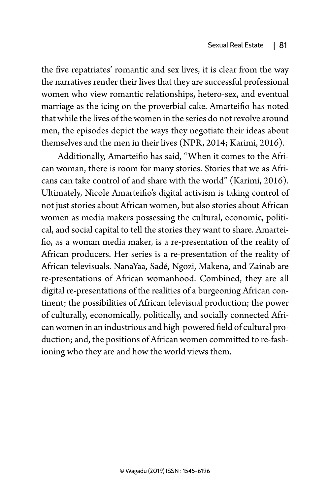the five repatriates' romantic and sex lives, it is clear from the way the narratives render their lives that they are successful professional women who view romantic relationships, hetero-sex, and eventual marriage as the icing on the proverbial cake. Amarteifio has noted that while the lives of the women in the series do not revolve around men, the episodes depict the ways they negotiate their ideas about themselves and the men in their lives (NPR, 2014; Karimi, 2016).

Additionally, Amarteifio has said, "When it comes to the African woman, there is room for many stories. Stories that we as Africans can take control of and share with the world" (Karimi, 2016). Ultimately, Nicole Amarteifio's digital activism is taking control of not just stories about African women, but also stories about African women as media makers possessing the cultural, economic, political, and social capital to tell the stories they want to share. Amarteifio, as a woman media maker, is a re-presentation of the reality of African producers. Her series is a re-presentation of the reality of African televisuals. NanaYaa, Sadé, Ngozi, Makena, and Zainab are re-presentations of African womanhood. Combined, they are all digital re-presentations of the realities of a burgeoning African continent; the possibilities of African televisual production; the power of culturally, economically, politically, and socially connected African women in an industrious and high-powered field of cultural production; and, the positions of African women committed to re-fashioning who they are and how the world views them.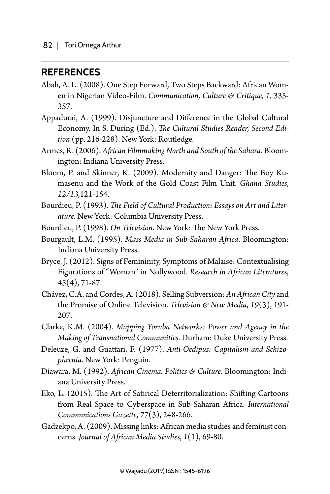### **REFERENCES**

- Abah, A. L. (2008). One Step Forward, Two Steps Backward: African Women in Nigerian Video-Film. *Communication, Culture & Critique*, *1*, 335- 357.
- Appadurai, A. (1999). Disjuncture and Difference in the Global Cultural Economy. In S. During (Ed.), *The Cultural Studies Reader, Second Edition* (pp. 216-228). New York: Routledge.
- Armes, R. (2006). *African Filmmaking North and South of the Sahara*. Bloomington: Indiana University Press.
- Bloom, P. and Skinner, K. (2009). Modernity and Danger: The Boy Kumasenu and the Work of the Gold Coast Film Unit. *Ghana Studies*, *12/13,*121-154.
- Bourdieu, P. (1993). *The Field of Cultural Production: Essays on Art and Literature*. New York: Columbia University Press.
- Bourdieu, P. (1998). *On Television*. New York: The New York Press.
- Bourgault, L.M. (1995). *Mass Media in Sub-Saharan Africa*. Bloomington: Indiana University Press.
- Bryce, J. (2012). Signs of Femininity, Symptoms of Malaise: Contextualising Figurations of "Woman" in Nollywood. *Research in African Literatures*, *43*(4), 71-87.
- Chávez, C.A. and Cordes, A. (2018). Selling Subversion: *An African City* and the Promise of Online Television. *Television & New Media*, *19*(3), 191- 207.
- Clarke, K.M. (2004). *Mapping Yoruba Networks: Power and Agency in the Making of Transnational Communities*. Durham: Duke University Press.
- Deleuze, G. and Guattari, F. (1977). *Anti-Oedipus: Capitalism and Schizophrenia*. New York: Penguin.
- Diawara, M. (1992). *African Cinema. Politics & Culture*. Bloomington: Indiana University Press.
- Eko, L. (2015). The Art of Satirical Deterritorialization: Shifting Cartoons from Real Space to Cyberspace in Sub-Saharan Africa. *International Communications Gazette*, *77*(3), 248-266.
- Gadzekpo, A. (2009). Missing links: African media studies and feminist concerns. *Journal of African Media Studies*, *1*(1), 69-80.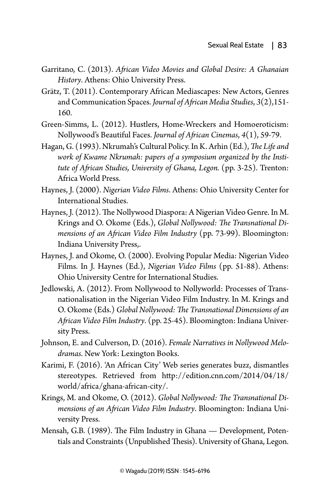- Garritano, C. (2013). *African Video Movies and Global Desire: A Ghanaian History*. Athens: Ohio University Press.
- Grätz, T. (2011). Contemporary African Mediascapes: New Actors, Genres and Communication Spaces. *Journal of African Media Studies*, *3*(2),151- 160.
- Green-Simms, L. (2012). Hustlers, Home-Wreckers and Homoeroticism: Nollywood's Beautiful Faces. *Journal of African Cinemas*, *4*(1), 59-79.
- Hagan, G. (1993). Nkrumah's Cultural Policy. In K. Arhin (Ed.), *The Life and work of Kwame Nkrumah: papers of a symposium organized by the Institute of African Studies, University of Ghana, Legon.* (pp. 3-25). Trenton: Africa World Press.
- Haynes, J. (2000). *Nigerian Video Films*. Athens: Ohio University Center for International Studies.
- Haynes, J. (2012). The Nollywood Diaspora: A Nigerian Video Genre. In M. Krings and O. Okome (Eds.), *Global Nollywood: The Transnational Dimensions of an African Video Film Industry* (pp. 73-99). Bloomington: Indiana University Press,.
- Haynes, J. and Okome, O. (2000). Evolving Popular Media: Nigerian Video Films. In J. Haynes (Ed.), *Nigerian Video Films* (pp. 51-88). Athens: Ohio University Centre for International Studies.
- Jedlowski, A. (2012). From Nollywood to Nollyworld: Processes of Transnationalisation in the Nigerian Video Film Industry. In M. Krings and O. Okome (Eds.) *Global Nollywood: The Transnational Dimensions of an African Video Film Industry*. (pp. 25-45). Bloomington: Indiana University Press.
- Johnson, E. and Culverson, D. (2016). *Female Narratives in Nollywood Melodramas*. New York: Lexington Books.
- Karimi, F. (2016). 'An African City' Web series generates buzz, dismantles stereotypes. Retrieved from [http://edition.cnn.com/2014/04/18/](http://edition.cnn.com/2014/04/18/world/africa/ghana-african-city/) [world/africa/ghana-african-city/](http://edition.cnn.com/2014/04/18/world/africa/ghana-african-city/).
- Krings, M. and Okome, O. (2012). *Global Nollywood: The Transnational Dimensions of an African Video Film Industry*. Bloomington: Indiana University Press.
- Mensah, G.B. (1989). The Film Industry in Ghana Development, Potentials and Constraints (Unpublished Thesis). University of Ghana, Legon.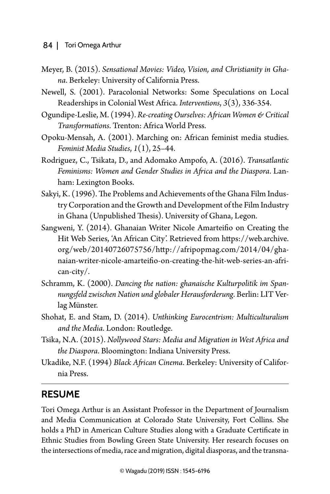- Meyer, B. (2015). *Sensational Movies: Video, Vision, and Christianity in Ghana*. Berkeley: University of California Press.
- Newell, S. (2001). Paracolonial Networks: Some Speculations on Local Readerships in Colonial West Africa. *Interventions*, *3*(3), 336-354.
- Ogundipe-Leslie, M. (1994). *Re-creating Ourselves: African Women & Critical Transformations*. Trenton: Africa World Press.
- Opoku-Mensah, A. (2001). Marching on: African feminist media studies. *Feminist Media Studies*, *1*(1), 25–44.
- Rodriguez, C., Tsikata, D., and Adomako Ampofo, A. (2016). *Transatlantic Feminisms: Women and Gender Studies in Africa and the Diaspora*. Lanham: Lexington Books.
- Sakyi, K. (1996). The Problems and Achievements of the Ghana Film Industry Corporation and the Growth and Development of the Film Industry in Ghana (Unpublished Thesis). University of Ghana, Legon.
- Sangweni, Y. (2014). Ghanaian Writer Nicole Amarteifio on Creating the Hit Web Series, 'An African City'. Retrieved from [https://web.archive.](https://web.archive.org/web/20140726075756/http://afripopmag.com/2014/04/ghanaian-writer-nicole-amarteifio-on-creating-the-hit-web-series-an-african-city/) [org/web/20140726075756/http://afripopmag.com/2014/04/gha](https://web.archive.org/web/20140726075756/http://afripopmag.com/2014/04/ghanaian-writer-nicole-amarteifio-on-creating-the-hit-web-series-an-african-city/)[naian-writer-nicole-amarteifio-on-creating-the-hit-web-series-an-afri](https://web.archive.org/web/20140726075756/http://afripopmag.com/2014/04/ghanaian-writer-nicole-amarteifio-on-creating-the-hit-web-series-an-african-city/)[can-city/](https://web.archive.org/web/20140726075756/http://afripopmag.com/2014/04/ghanaian-writer-nicole-amarteifio-on-creating-the-hit-web-series-an-african-city/).
- Schramm, K. (2000). *Dancing the nation: ghanaische Kulturpolitik im Spannungsfeld zwischen Nation und globaler Herausforderung*. Berlin: LIT Verlag Münster.
- Shohat, E. and Stam, D. (2014). *Unthinking Eurocentrism: Multiculturalism and the Media*. London: Routledge.
- Tsika, N.A. (2015). *Nollywood Stars: Media and Migration in West Africa and the Diaspora*. Bloomington: Indiana University Press.
- Ukadike, N.F. (1994) *Black African Cinema*. Berkeley: University of California Press.

## **Resume**

Tori Omega Arthur is an Assistant Professor in the Department of Journalism and Media Communication at Colorado State University, Fort Collins. She holds a PhD in American Culture Studies along with a Graduate Certificate in Ethnic Studies from Bowling Green State University. Her research focuses on the intersections of media, race and migration, digital diasporas, and the transna